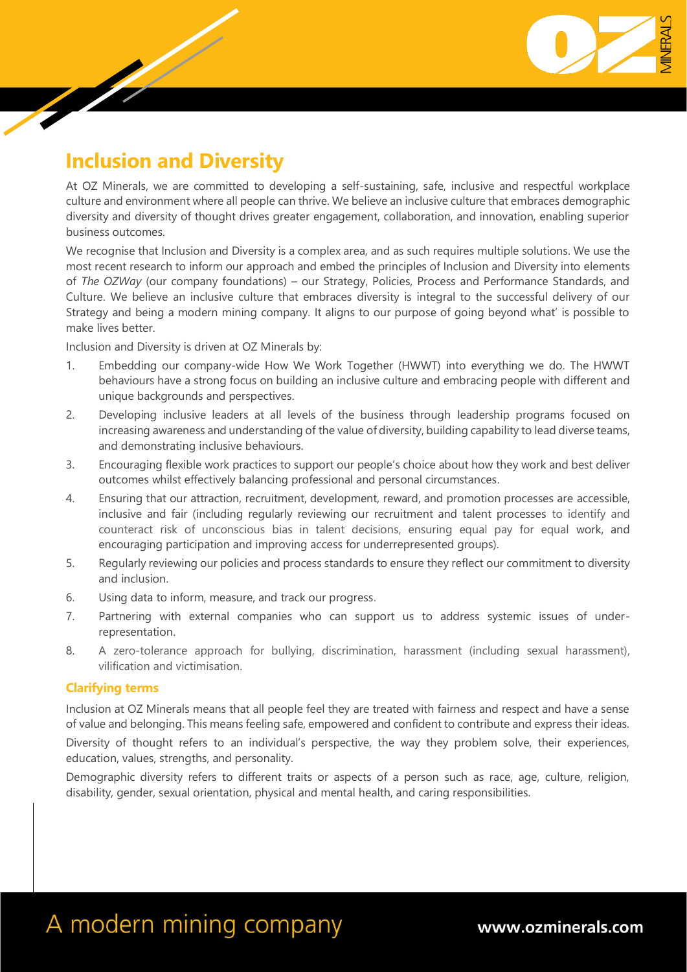

## **Inclusion and Diversity**

At OZ Minerals, we are committed to developing a self-sustaining, safe, inclusive and respectful workplace culture and environment where all people can thrive. We believe an inclusive culture that embraces demographic diversity and diversity of thought drives greater engagement, collaboration, and innovation, enabling superior business outcomes.

We recognise that Inclusion and Diversity is a complex area, and as such requires multiple solutions. We use the most recent research to inform our approach and embed the principles of Inclusion and Diversity into elements of *The OZWay* (our company foundations) – our Strategy, Policies, Process and Performance Standards, and Culture. We believe an inclusive culture that embraces diversity is integral to the successful delivery of our Strategy and being a modern mining company. It aligns to our purpose of going beyond what' is possible to make lives better.

Inclusion and Diversity is driven at OZ Minerals by:

- 1. Embedding our company-wide How We Work Together (HWWT) into everything we do. The HWWT behaviours have a strong focus on building an inclusive culture and embracing people with different and unique backgrounds and perspectives.
- 2. Developing inclusive leaders at all levels of the business through leadership programs focused on increasing awareness and understanding of the value of diversity, building capability to lead diverse teams, and demonstrating inclusive behaviours.
- 3. Encouraging flexible work practices to support our people's choice about how they work and best deliver outcomes whilst effectively balancing professional and personal circumstances.
- 4. Ensuring that our attraction, recruitment, development, reward, and promotion processes are accessible, inclusive and fair (including regularly reviewing our recruitment and talent processes to identify and counteract risk of unconscious bias in talent decisions, ensuring equal pay for equal work, and encouraging participation and improving access for underrepresented groups).
- 5. Regularly reviewing our policies and process standards to ensure they reflect our commitment to diversity and inclusion.
- 6. Using data to inform, measure, and track our progress.
- 7. Partnering with external companies who can support us to address systemic issues of underrepresentation.
- 8. A zero-tolerance approach for bullying, discrimination, harassment (including sexual harassment), vilification and victimisation.

## **Clarifying terms**

Inclusion at OZ Minerals means that all people feel they are treated with fairness and respect and have a sense of value and belonging. This means feeling safe, empowered and confident to contribute and express their ideas.

Diversity of thought refers to an individual's perspective, the way they problem solve, their experiences, education, values, strengths, and personality.

Demographic diversity refers to different traits or aspects of a person such as race, age, culture, religion, disability, gender, sexual orientation, physical and mental health, and caring responsibilities.

## A modern mining company